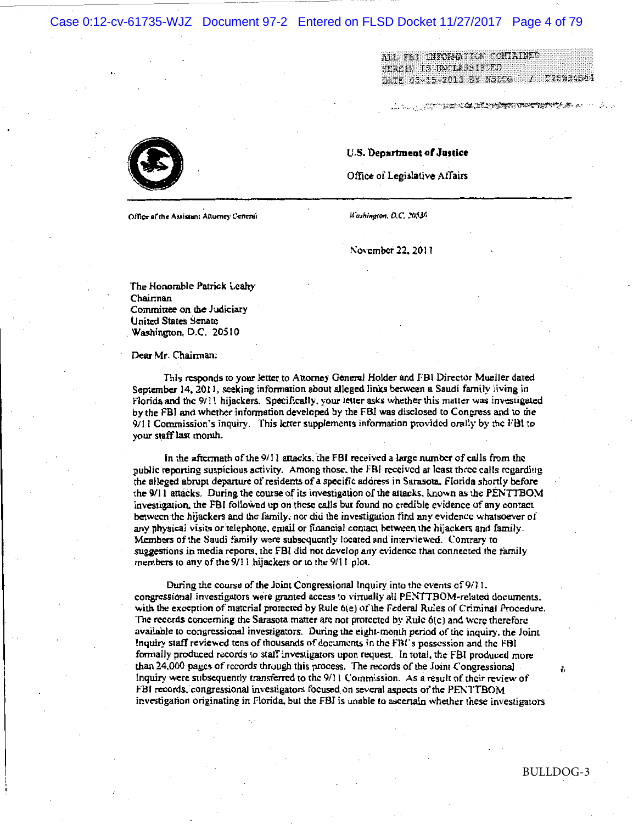Case 0:12-cv-61735-WJZ Document 97-2 Entered on FLSD Docket 11/27/2017 Page 4 of 79

ALL FBI INFORMATION CONTAINED SERCIN IS UNCLASSIFIED DATE 03-15-2013 BY NSICG C28W34B64

Office of the Assistant Atturney General

Washington, D.C. 20536

U.S. Department of Justice

Office of Legislative Affairs

November 22, 2011

The Honorable Patrick Leahy Chairman Committee on the Judiciary United States Senate Washington, D.C. 20510

Dear Mr. Chairman:

This responds to your letter to Attorney General Holder and FBI Director Mueller dated September 14, 2011, seeking information about alleged links between a Saudi family living in Florida and the 9/11 hijackers. Specifically, your letter asks whether this matter was investigated by the FBI and whether information developed by the FBI was disclosed to Congress and to the 9/11 Commission's inquiry. This letter supplements information provided orally by the FBI to your staff last month.

In the aftermath of the 9/11 attacks, the FBI received a large number of calls from the public reporting suspicious activity. Among those, the FBI received at least three calls regarding the alleged abrupt departure of residents of a specific address in Sarasota, Florida shortly before the 9/11 attacks. During the course of its investigation of the attacks, known as the PENTTBOM investigation, the FBI followed up on these calls but found no credible evidence of any contact between the hijackers and the family, nor did the investigation find any evidence whatsoever of any physical visits or telephone, email or financial contact between the hijackers and family. Members of the Saudi family were subsequently located and interviewed. Contrary to suggestions in media reports, the FBI did not develop any evidence that connected the family members to any of the 9/11 hijackers or to the 9/11 plot.

During the course of the Joint Congressional Inquiry into the events of 9/11, congressional investigators were granted access to virtually all PENTTBOM-related documents, with the exception of matcrial protected by Rule 6(e) of the Federal Rules of Criminal Procedure. The records concerning the Sarasota matter are not protected by Rule 6(c) and were therefore available to congressional investigators. During the eight-month period of the inquiry, the Joint Inquiry staff reviewed tens of thousands of documents in the FBI's possession and the FBI formally produced records to staff investigators upon request. In total, the FBI produced more than 24,000 pages of records through this process. The records of the Joint Congressional Inquiry were subsequently transferred to the 9/11 Commission. As a result of their review of FBI records, congressional investigators focused on several aspects of the PENTTBOM investigation originating in Florida, but the FBI is unable to ascertain whether these investigators